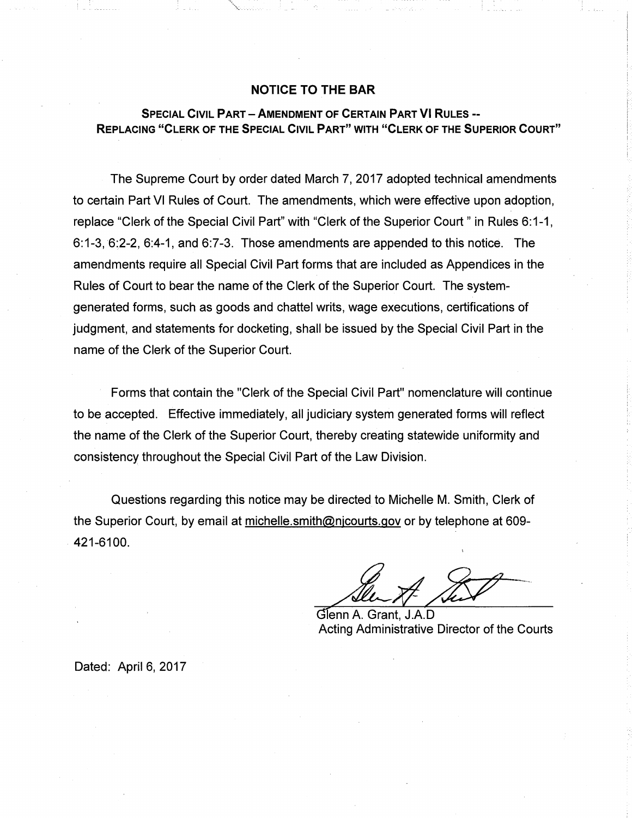## **NOTICE TO THE BAR**

# **SPECIAL CIVIL PART-AMENDMENT OF CERTAIN PART VI RULES** -- **REPLACING "CLERK OF THE SPECIAL CIVIL PART" WITH "CLERK OF THE SUPERIOR COURT"**

The Supreme Court by order dated March 7, 2017 adopted technical amendments to certain Part VI Rules of Court. The amendments, which were effective upon adoption, replace "Clerk of the Special Civil Part" with "Clerk of the Superior Court" in Rules 6:1-1,  $6:1-3$ ,  $6:2-2$ ,  $6:4-1$ , and  $6:7-3$ . Those amendments are appended to this notice. The amendments require all Special Civil Part forms that are included as Appendices in the Rules of Court to bear the name of the Clerk of the Superior Court. The systemgenerated forms, such as goods and chattel writs, wage executions, certifications of judgment, and statements for docketing, shall be issued by the Special Civil Part in the name of the Clerk of the Superior Court.

Forms that contain the "Clerk of the Special Civil Part" nomenclature will continue to be accepted. Effective immediately, all judiciary system generated forms will reflect the name of the Clerk of the Superior Court, thereby creating statewide uniformity and consistency throughout the Special Civil Part of the Law Division.

Questions regarding this notice may be directed to Michelle M. Smith, Clerk of the Superior Court, by email at michelle.smith@njcourts.gov or by telephone at 609- . 421-6100.

Glenn A. Grant, J.A.D Acting Administrative Director of the Courts

Dated: April 6, 2017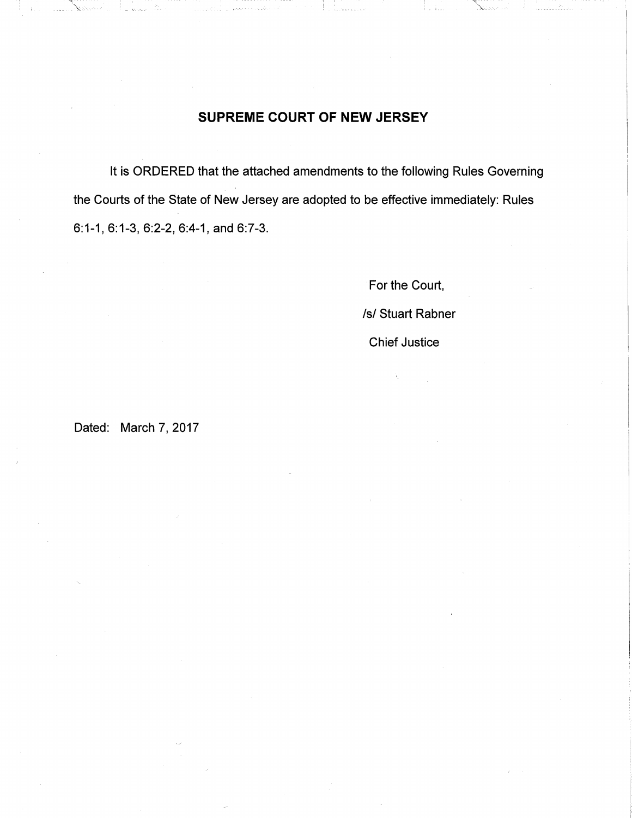# **SUPREME COURT OF NEW JERSEY**

It is ORDERED that the attached amendments to the following Rules Governing the Courts of the State of New Jersey are adopted to be effective immediately: Rules 6:1-1, 6:1-3, 6:2-2, 6:4-1, and 6:7-3.

> For the Court, /s/ Stuart Rabner Chief Justice

Dated: March 7, 2017

 $\ldots \chi_{\otimes \omega}$  .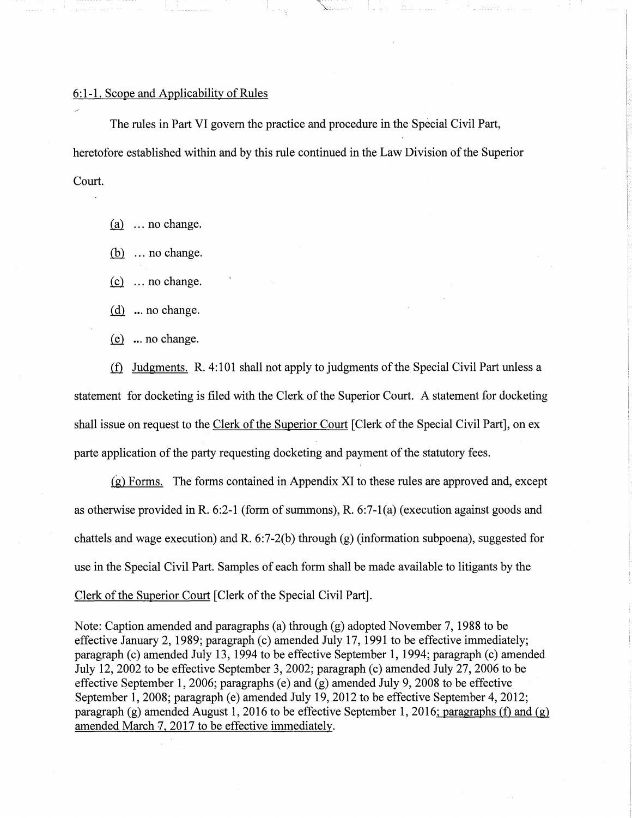### 6:1-1. Scope and Applicability of Rules

The rules in Part VI govern the practice and procedure in the Special Civil Part, heretofore established within and by this rule continued in the Law Division of the Superior Court.

"\.~.:.:.·~·-· ..

 $(a)$  ... no change.

 $(b)$  ... no change.

 $(c)$  ... no change.

 $(d)$  ... no change.

 $(e)$  ... no change.

 $i$  Judgments. R. 4:101 shall not apply to judgments of the Special Civil Part unless a statement for docketing is filed with the Clerk of the Superior Court. A statement for docketing shall issue on request to the Clerk of the Superior Court [Clerk of the Special Civil Part], on ex parte application of the party requesting docketing and payment of the statutory fees.

(g) Forms. The forms contained in Appendix XI to these rules are approved and, except as otherwise provided in R. 6:2-1 (form of summons), R. 6:7-l(a) (execution against goods and chattels and wage execution) and R. 6:7-2(b) through (g) (information subpoena), suggested for use in the Special Civil Part. Samples of each form shall be made available to litigants by the Clerk of the Superior Court [Clerk of the Special Civil Part].

Note: Caption amended and paragraphs (a) through (g) adopted November 7, 1988 to be effective January 2, 1989; paragraph (c) amended July 17, 1991 to be effective immediately; paragraph (c) amended July 13, 1994 to be effective September 1, 1994; paragraph (c) amended July 12, 2002 to be effective September 3, 2002; paragraph (c) amended July 27, 2006 to be effective September 1, 2006; paragraphs (e) and (g) amended July 9, 2008 to be effective September 1, 2008; paragraph (e) amended July 19, 2012 to be effective September 4, 2012; paragraph (g) amended August 1, 2016 to be effective September 1, 2016; paragraphs (f) and (g) amended March 'J, 2017 to be effective immediately.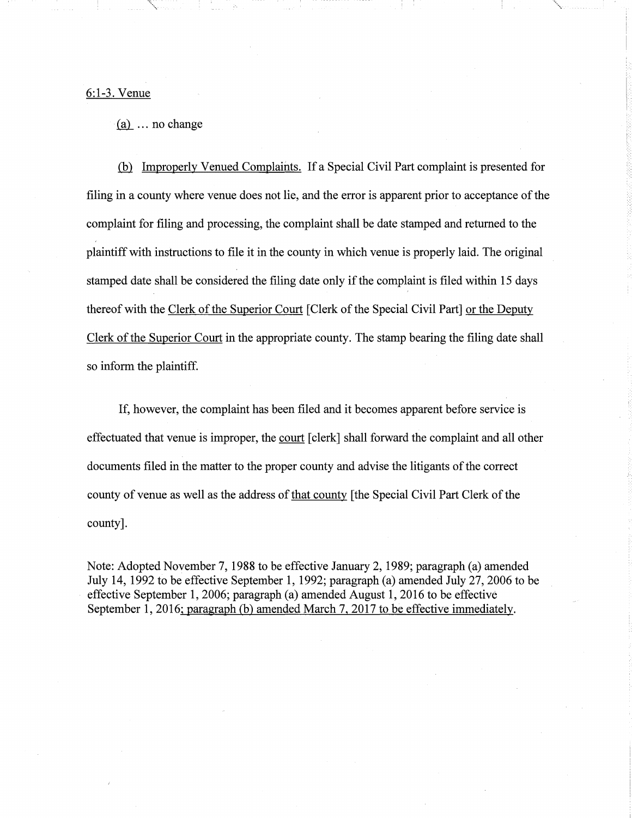6:1-3. Venue

 $(a)$  ... no change

.Gil Improperly Venued Complaints. If a Special Civil Part complaint is presented for filing in a county where venue does not lie, and the error is apparent prior to acceptance of the complaint for filing and processing, the complaint shall be date stamped and returned to the plaintiff with instructions to file it in the county in which venue is properly laid. The original stamped date shall be considered the filing date only if the complaint is filed within 15 days thereof with the Clerk of the Superior Court [Clerk of the Special Civil Part] or the Deputy Clerk of the Superior Court in the appropriate county. The stamp bearing the filing date shall so inform the plaintiff.

If, however, the complaint has been filed and it becomes apparent before service is effectuated that venue is improper, the court [clerk] shall forward the complaint and all other documents filed in the matter to the proper county and advise the litigants of the correct county of venue as well as the address of that county [the Special Civil Part Clerk of the county].

Note: Adopted November 7, 1988 to be effective January 2, 1989; paragraph (a) amended July 14, 1992 to be effective September 1, 1992; paragraph (a) amended July 27, 2006 to be effective September 1, 2006; paragraph (a) amended August 1, 2016 to be effective September 1, 2016: paragraph (b) amended March 7, 2017 to be effective immediately.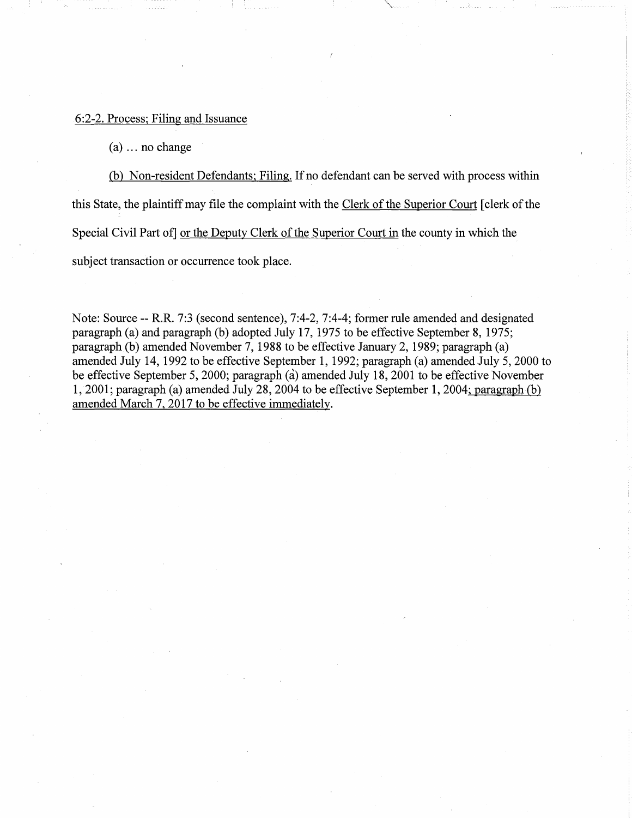#### 6:2-2. Process; Filing and Issuance

(a) ... no change

(b) Non-resident Defendants; Filing. If no defendant can be served with process within this State, the plaintiff may file the complaint with the Clerk of the Superior Court [ clerk of the Special Civil Part of] or the Deputy Clerk of the Superior Court in the county in which the subject transaction or occurrence took place.

Note: Source -- R.R. 7:3 (second sentence), 7:4-2, 7:4-4; former rule amended and designated paragraph (a) and paragraph (b) adopted July 17, 1975 to be effective September 8, 1975; paragraph (b) amended November 7, 1988 to be effective January 2, 1989; paragraph (a) amended July 14, 1992 to be effective September 1, 1992; paragraph (a) amended July 5, 2000 to be effective September 5, 2000; paragraph (a) amended July 18, 2001 to be effective November 1, 2001; paragraph (a) amended July 28, 2004 to be effective September 1, 2004; paragraph(b) amended March 7, 2017 to be effective immediately.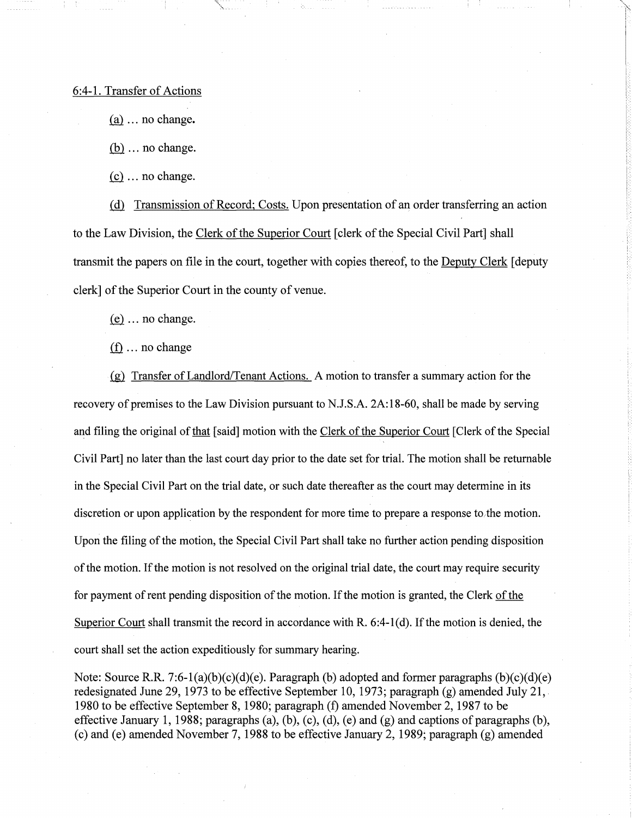#### 6:4-1. Transfer of Actions

 $(a)$  ... no change.

:,,\_\_,\_

 $(b)$  ... no change.

*.(£1* ... no change.

(d) Transmission of Record; Costs. Upon presentation of an order transferring an action to the Law Division, the Clerk of the Superior Court [clerk of the Special Civil Part] shall transmit the papers on file in the court, together with copies thereof, to the Deputy Clerk [ deputy clerk] of the Superior Court in the county of venue.

 $(e)$  ... no change.

 $(f)$  ... no change

.(g)\_ Transfer of Landlord/Tenant Actions. A motion to transfer a summary action for the recovery of premises to the Law Division pursuant to N.J.S.A. 2A:18-60, shall be made by serving and filing the original of <u>that</u> [said] motion with the Clerk of the Superior Court [Clerk of the Special Civil Part] no later than the last court day prior to the date set for trial. The motion shall be returnable in the Special Civil Part on the trial date, or such date thereafter as the court may determine in its discretion or upon application by the respondent for more time to prepare a response to,the motion. Upon the filing of the motion, the Special Civil Part shall take no further action pending disposition of the motion. If the motion is not resolved on the original trial date, the court may require security for payment of rent pending disposition of the motion. If the motion is granted, the Clerk of the Superior Court shall transmit the record in accordance with R.  $6:4-1(d)$ . If the motion is denied, the court shall set the action expeditiously for summary hearing.

Note: Source R.R. 7:6-1(a)(b)(c)(d)(e). Paragraph (b) adopted and former paragraphs  $(b)(c)(d)(e)$ redesignated June 29, 1973 to be effective September 10, 1973; paragraph (g) amended July 21, 1980 to be effective September 8, 1980; paragraph (f) amended November 2, 1987 to be effective January 1, 1988; paragraphs (a), (b), (c), (d), (e) and (g) and captions of paragraphs (b), (c) and (e) amended November 7, 1988 to be effective January 2, 1989; paragraph (g) amended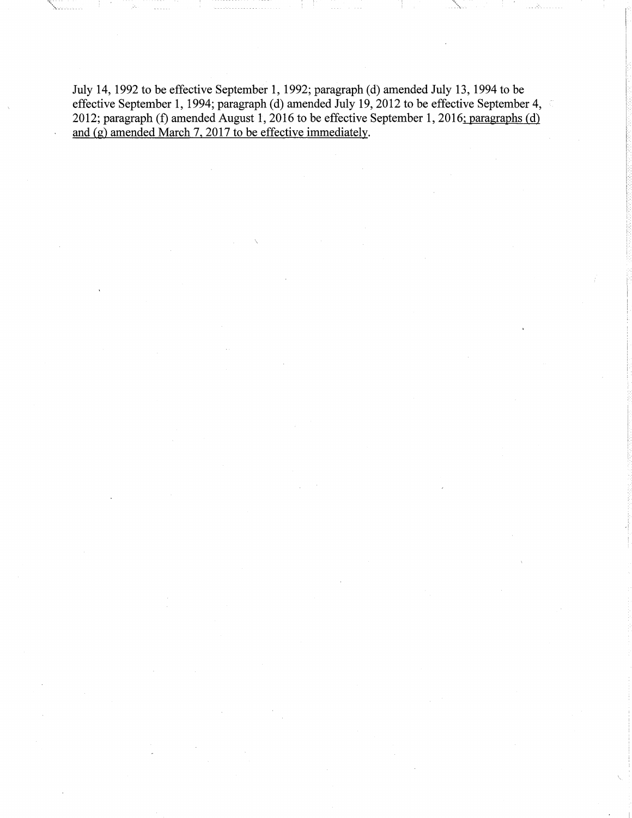July 14, 1992 to be effective September 1, 1992; paragraph (d) amended July 13, 1994 to be effective September 1, 1994; paragraph (d) amended July 19, 2012 to be effective September 4, 2012; paragraph (f) amended August 1, 2016 to be effective September 1, 2016: paragraphs (d) and  $(g)$  amended March 7, 2017 to be effective immediately.

: .... \_. \_\_\_ \_ .. > ....\_.\_